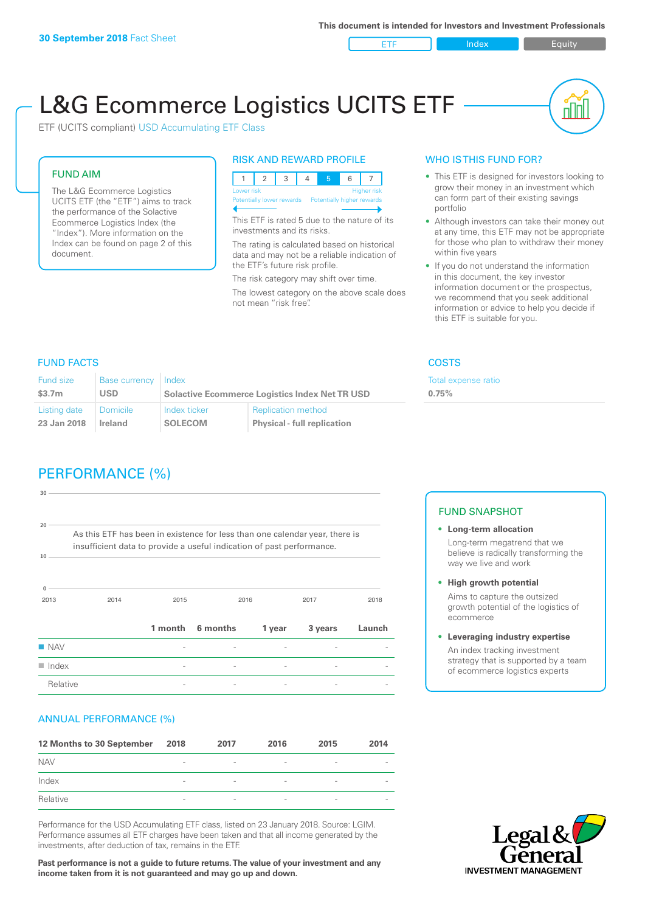ETF Index Buity

nl IN

# L&G Ecommerce Logistics UCITS ETF

ETF (UCITS compliant) USD Accumulating ETF Class

### FUND AIM

The L&G Ecommerce Logistics UCITS ETF (the "ETF") aims to track the performance of the Solactive Ecommerce Logistics Index (the "Index"). More information on the Index can be found on page 2 of this document.

### RISK AND REWARD PROFILE



This ETF is rated 5 due to the nature of its investments and its risks.

The rating is calculated based on historical data and may not be a reliable indication of the ETF's future risk profile.

The risk category may shift over time. The lowest category on the above scale does not mean "risk free".

### WHO IS THIS FUND FOR?

- This ETF is designed for investors looking to grow their money in an investment which can form part of their existing savings portfolio
- Although investors can take their money out at any time, this ETF may not be appropriate for those who plan to withdraw their money within five years
- If you do not understand the information in this document, the key investor information document or the prospectus, we recommend that you seek additional information or advice to help you decide if this ETF is suitable for you.

**0.75%**

Total expense ratio

### FUND FACTS COSTS

| Fund size          | <b>Base currency</b> | Index                                                 |                                    |  |
|--------------------|----------------------|-------------------------------------------------------|------------------------------------|--|
| \$3.7 <sub>m</sub> | <b>USD</b>           | <b>Solactive Ecommerce Logistics Index Net TR USD</b> |                                    |  |
| Listing date       | Domicile             | Index ticker                                          | <b>Replication method</b>          |  |
| 23 Jan 2018        | Ireland              | <b>SOLECOM</b>                                        | <b>Physical - full replication</b> |  |

### PERFORMANCE (%)

| 30                   |                                                                                                                                                      |                |          |                          |         |        |  |
|----------------------|------------------------------------------------------------------------------------------------------------------------------------------------------|----------------|----------|--------------------------|---------|--------|--|
|                      |                                                                                                                                                      |                |          |                          |         |        |  |
|                      |                                                                                                                                                      |                |          |                          |         |        |  |
| 20                   |                                                                                                                                                      |                |          |                          |         |        |  |
|                      | As this ETF has been in existence for less than one calendar year, there is<br>insufficient data to provide a useful indication of past performance. |                |          |                          |         |        |  |
| 10                   |                                                                                                                                                      |                |          |                          |         |        |  |
|                      |                                                                                                                                                      |                |          |                          |         |        |  |
|                      |                                                                                                                                                      |                |          |                          |         |        |  |
| $\Omega$<br>2013     | 2014                                                                                                                                                 | 2015           |          | 2016                     | 2017    | 2018   |  |
|                      |                                                                                                                                                      |                |          |                          |         |        |  |
|                      |                                                                                                                                                      |                |          |                          |         |        |  |
|                      |                                                                                                                                                      | 1 month        | 6 months | 1 year                   | 3 years | Launch |  |
| <b>NAV</b>           |                                                                                                                                                      |                |          |                          |         |        |  |
| $\blacksquare$ Index |                                                                                                                                                      | $\overline{a}$ |          | $\overline{a}$           |         |        |  |
| Relative             |                                                                                                                                                      |                |          | $\overline{\phantom{a}}$ |         |        |  |

### ANNUAL PERFORMANCE (%)

| 12 Months to 30 September | 2018                     | 2017                     | 2016            | 2015            | 2014 |
|---------------------------|--------------------------|--------------------------|-----------------|-----------------|------|
| <b>NAV</b>                | $\overline{\phantom{a}}$ | $\overline{\phantom{a}}$ | $\qquad \qquad$ | $\qquad \qquad$ |      |
| Index                     | $\sim$                   | $\qquad \qquad$          | $\qquad \qquad$ | $\qquad \qquad$ |      |
| Relative                  | $\sim$                   | $\overline{\phantom{a}}$ |                 | $\qquad \qquad$ |      |

Performance for the USD Accumulating ETF class, listed on 23 January 2018. Source: LGIM. Performance assumes all ETF charges have been taken and that all income generated by the investments, after deduction of tax, remains in the ETF.

**Past performance is not a guide to future returns. The value of your investment and any income taken from it is not guaranteed and may go up and down.**

### FUND SNAPSHOT

- **• Long-term allocation** Long-term megatrend that we believe is radically transforming the way we live and work
- **• High growth potential**

Aims to capture the outsized growth potential of the logistics of ecommerce

#### **• Leveraging industry expertise**

An index tracking investment strategy that is supported by a team of ecommerce logistics experts

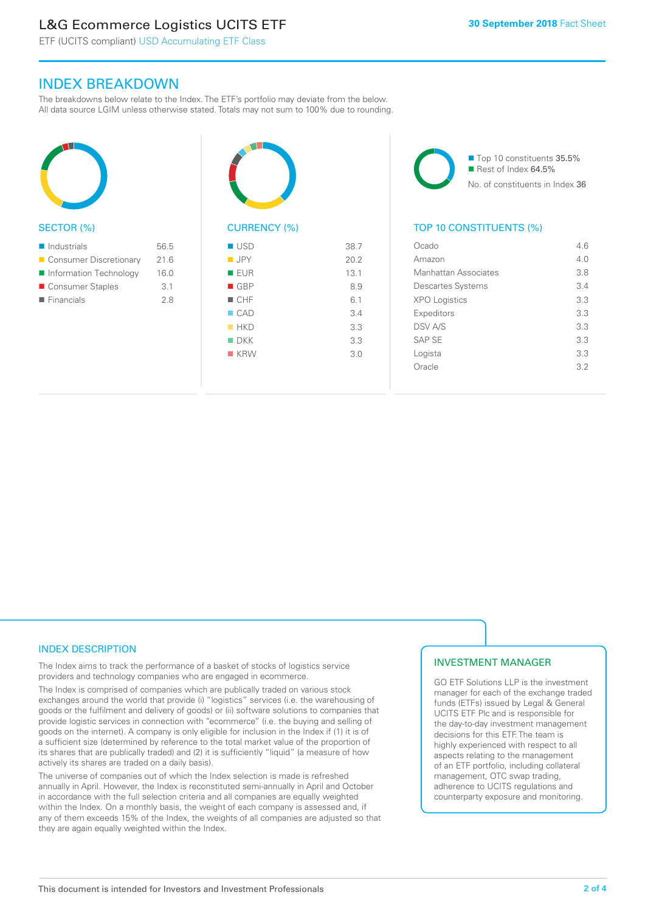### L&G Ecommerce Logistics UCITS ETF

ETF (UCITS compliant) USD Accumulating ETF Class

### INDEX BREAKDOWN

The breakdowns below relate to the Index. The ETF's portfolio may deviate from the below. All data source LGIM unless otherwise stated. Totals may not sum to 100% due to rounding.



### SECTOR (%)

| $\blacksquare$ Industrials | 56.5 |
|----------------------------|------|
| ■ Consumer Discretionary   | 21.6 |
| Information Technology     | 16.0 |
| Consumer Staples           | 3.1  |
| $\blacksquare$ Financials  | 28   |
|                            |      |



## CURRENCY (%)

| $\blacksquare$ USD | 38.7 |
|--------------------|------|
| $\blacksquare$ JPY | 20.2 |
| <b>EUR</b>         | 13.1 |
| $\blacksquare$ GBP | 8.9  |
| $\blacksquare$ CHF | 6.1  |
| $\Box$ CAD         | 3.4  |
| HKD                | 3.3  |
| $\blacksquare$ DKK | 3.3  |
| $K$ KRW            | 3.0  |
|                    |      |

■ Top 10 constituents 35.5% Rest of Index 64.5% No. of constituents in Index 36

### TOP 10 CONSTITUENTS (%)

| Ocado                    | 46  |
|--------------------------|-----|
| Amazon                   | 4.0 |
| Manhattan Associates     | 3.8 |
| <b>Descartes Systems</b> | 3.4 |
| <b>XPO Logistics</b>     | 3.3 |
| Expeditors               | 3.3 |
| <b>DSV A/S</b>           | 3.3 |
| SAP SF                   | 3.3 |
| Logista                  | 3.3 |
| Oracle                   | 32  |
|                          |     |

### INDEX DESCRIPTION

The Index aims to track the performance of a basket of stocks of logistics service providers and technology companies who are engaged in ecommerce.

The Index is comprised of companies which are publically traded on various stock exchanges around the world that provide (i) "logistics" services (i.e. the warehousing of goods or the fulfilment and delivery of goods) or (ii) software solutions to companies that provide logistic services in connection with "ecommerce" (i.e. the buying and selling of goods on the internet). A company is only eligible for inclusion in the Index if (1) it is of a sufficient size (determined by reference to the total market value of the proportion of its shares that are publically traded) and (2) it is sufficiently "liquid" (a measure of how actively its shares are traded on a daily basis).

The universe of companies out of which the Index selection is made is refreshed annually in April. However, the Index is reconstituted semi-annually in April and October in accordance with the full selection criteria and all companies are equally weighted within the Index. On a monthly basis, the weight of each company is assessed and, if any of them exceeds 15% of the Index, the weights of all companies are adjusted so that they are again equally weighted within the Index.

### INVESTMENT MANAGER

GO ETF Solutions LLP is the investment manager for each of the exchange traded funds (ETFs) issued by Legal & General UCITS ETF Plc and is responsible for the day-to-day investment management decisions for this ETF. The team is highly experienced with respect to all aspects relating to the management of an ETF portfolio, including collateral management, OTC swap trading, adherence to UCITS regulations and counterparty exposure and monitoring.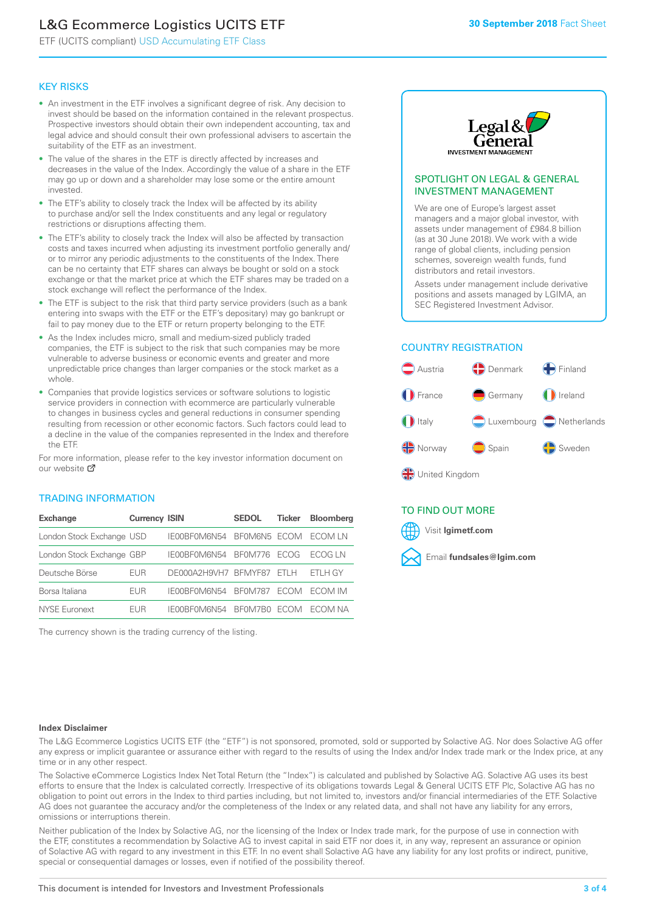### L&G Ecommerce Logistics UCITS ETF

ETF (UCITS compliant) USD Accumulating ETF Class

### KEY RISKS

- An investment in the ETF involves a significant degree of risk. Any decision to invest should be based on the information contained in the relevant prospectus. Prospective investors should obtain their own independent accounting, tax and legal advice and should consult their own professional advisers to ascertain the suitability of the ETF as an investment.
- The value of the shares in the ETF is directly affected by increases and decreases in the value of the Index. Accordingly the value of a share in the ETF may go up or down and a shareholder may lose some or the entire amount invested.
- The ETF's ability to closely track the Index will be affected by its ability to purchase and/or sell the Index constituents and any legal or regulatory restrictions or disruptions affecting them.
- The ETF's ability to closely track the Index will also be affected by transaction costs and taxes incurred when adjusting its investment portfolio generally and/ or to mirror any periodic adjustments to the constituents of the Index. There can be no certainty that ETF shares can always be bought or sold on a stock exchange or that the market price at which the ETF shares may be traded on a stock exchange will reflect the performance of the Index.
- The ETF is subject to the risk that third party service providers (such as a bank entering into swaps with the ETF or the ETF's depositary) may go bankrupt or fail to pay money due to the ETF or return property belonging to the ETF.
- As the Index includes micro, small and medium-sized publicly traded companies, the ETF is subject to the risk that such companies may be more vulnerable to adverse business or economic events and greater and more unpredictable price changes than larger companies or the stock market as a whole.
- Companies that provide logistics services or software solutions to logistic service providers in connection with ecommerce are particularly vulnerable to changes in business cycles and general reductions in consumer spending resulting from recession or other economic factors. Such factors could lead to a decline in the value of the companies represented in the Index and therefore the ETF.

For more in[form](https://www.lgimetf.com/)ation, please refer to the key investor information document on our website ぴ

### TRADING INFORMATION

| <b>Exchange</b>           | <b>Currency ISIN</b> |                      | <b>SEDOL</b>   | <b>Ticker</b> | <b>Bloomberg</b> |
|---------------------------|----------------------|----------------------|----------------|---------------|------------------|
| London Stock Exchange USD |                      | IE00BF0M6N54         | BFOM6N5 ECOM   |               | ECOM LN          |
| London Stock Exchange GBP |                      | IE00BF0M6N54         | <b>BF0M776</b> | <b>FCOG</b>   | FCOG IN          |
| Deutsche Börse            | <b>EUR</b>           | DE000A2H9VH7 BFMYF87 |                | FTI H         | ETLH GY          |
| Borsa Italiana            | EUR                  | IE00BF0M6N54         | <b>BF0M787</b> | <b>FCOM</b>   | ECOM IM          |
| NYSE Euronext             | <b>FUR</b>           | IF00BF0M6N54         | BF0M7B0        | <b>FCOM</b>   | FCOM NA          |

The currency shown is the trading currency of the listing.



### SPOTLIGHT ON LEGAL & GENERAL INVESTMENT MANAGEMENT

We are one of Europe's largest asset managers and a major global investor, with assets under management of £984.8 billion (as at 30 June 2018). We work with a wide range of global clients, including pension schemes, sovereign wealth funds, fund distributors and retail investors.

Assets under management include derivative positions and assets managed by LGIMA, an SEC Registered Investment Advisor.

### COUNTRY REGISTRATION



### TO FIND OUT MORE

Visit **lgimetf.com**



### **Index Disclaimer**

The L&G Ecommerce Logistics UCITS ETF (the "ETF") is not sponsored, promoted, sold or supported by Solactive AG. Nor does Solactive AG offer any express or implicit guarantee or assurance either with regard to the results of using the Index and/or Index trade mark or the Index price, at any time or in any other respect.

The Solactive eCommerce Logistics Index Net Total Return (the "Index") is calculated and published by Solactive AG. Solactive AG uses its best efforts to ensure that the Index is calculated correctly. Irrespective of its obligations towards Legal & General UCITS ETF Plc, Solactive AG has no obligation to point out errors in the Index to third parties including, but not limited to, investors and/or financial intermediaries of the ETF. Solactive AG does not guarantee the accuracy and/or the completeness of the Index or any related data, and shall not have any liability for any errors, omissions or interruptions therein.

Neither publication of the Index by Solactive AG, nor the licensing of the Index or Index trade mark, for the purpose of use in connection with the ETF, constitutes a recommendation by Solactive AG to invest capital in said ETF nor does it, in any way, represent an assurance or opinion of Solactive AG with regard to any investment in this ETF. In no event shall Solactive AG have any liability for any lost profits or indirect, punitive, special or consequential damages or losses, even if notified of the possibility thereof.